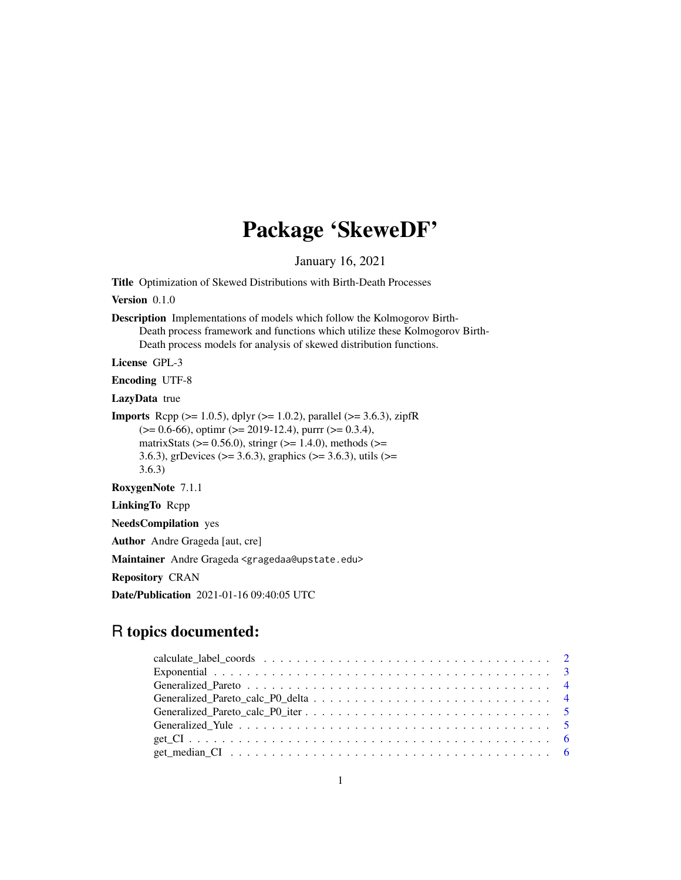# Package 'SkeweDF'

January 16, 2021

Title Optimization of Skewed Distributions with Birth-Death Processes

Version 0.1.0

Description Implementations of models which follow the Kolmogorov Birth-Death process framework and functions which utilize these Kolmogorov Birth-Death process models for analysis of skewed distribution functions.

License GPL-3

Encoding UTF-8

LazyData true

**Imports** Rcpp ( $>= 1.0.5$ ), dplyr ( $>= 1.0.2$ ), parallel ( $>= 3.6.3$ ), zipfR  $(>= 0.6-66)$ , optime ( $>= 2019-12.4$ ), purre ( $>= 0.3.4$ ), matrixStats ( $>= 0.56.0$ ), stringr ( $>= 1.4.0$ ), methods ( $>=$ 3.6.3), grDevices (>= 3.6.3), graphics (>= 3.6.3), utils (>= 3.6.3)

RoxygenNote 7.1.1

LinkingTo Rcpp

NeedsCompilation yes

Author Andre Grageda [aut, cre]

Maintainer Andre Grageda <gragedaa@upstate.edu>

Repository CRAN

Date/Publication 2021-01-16 09:40:05 UTC

# R topics documented: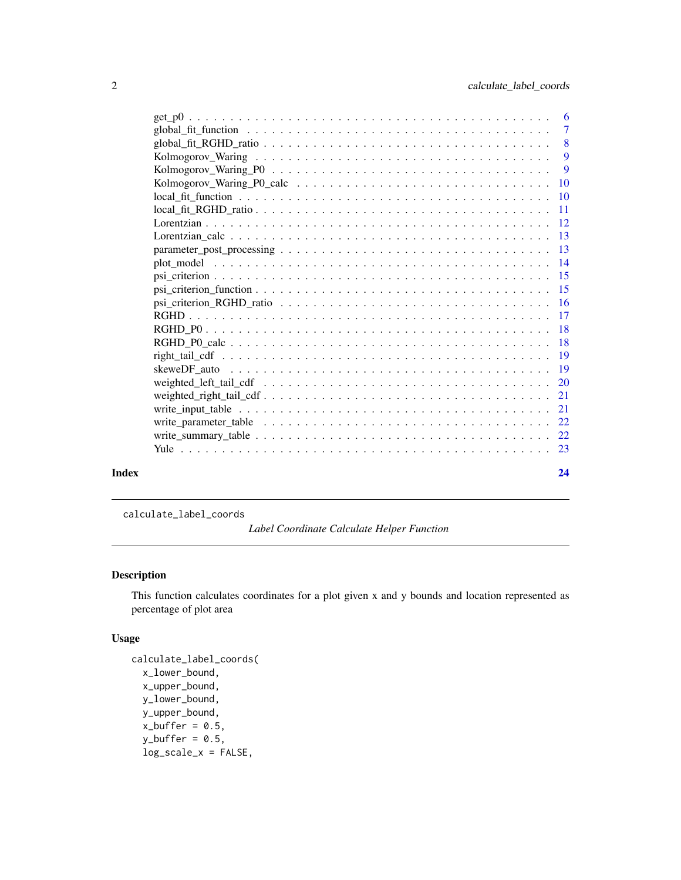<span id="page-1-0"></span>

|       | Kolmogorov_Waring_P0_calc $\ldots \ldots \ldots \ldots \ldots \ldots \ldots \ldots \ldots \ldots \ldots \ldots 10$ |    |
|-------|--------------------------------------------------------------------------------------------------------------------|----|
|       |                                                                                                                    |    |
|       |                                                                                                                    |    |
|       |                                                                                                                    |    |
|       |                                                                                                                    |    |
|       |                                                                                                                    |    |
|       |                                                                                                                    |    |
|       |                                                                                                                    |    |
|       |                                                                                                                    |    |
|       |                                                                                                                    |    |
|       |                                                                                                                    |    |
|       |                                                                                                                    |    |
|       |                                                                                                                    |    |
|       |                                                                                                                    |    |
|       |                                                                                                                    |    |
|       |                                                                                                                    |    |
|       |                                                                                                                    |    |
|       |                                                                                                                    |    |
|       |                                                                                                                    |    |
|       |                                                                                                                    |    |
|       |                                                                                                                    |    |
| Index |                                                                                                                    | 24 |

calculate\_label\_coords

*Label Coordinate Calculate Helper Function*

## Description

This function calculates coordinates for a plot given x and y bounds and location represented as percentage of plot area

```
calculate_label_coords(
 x_lower_bound,
 x_upper_bound,
 y_lower_bound,
 y_upper_bound,
 x_buffer = 0.5,
 y_buffer = 0.5,
  log_scale_x = FALSE,
```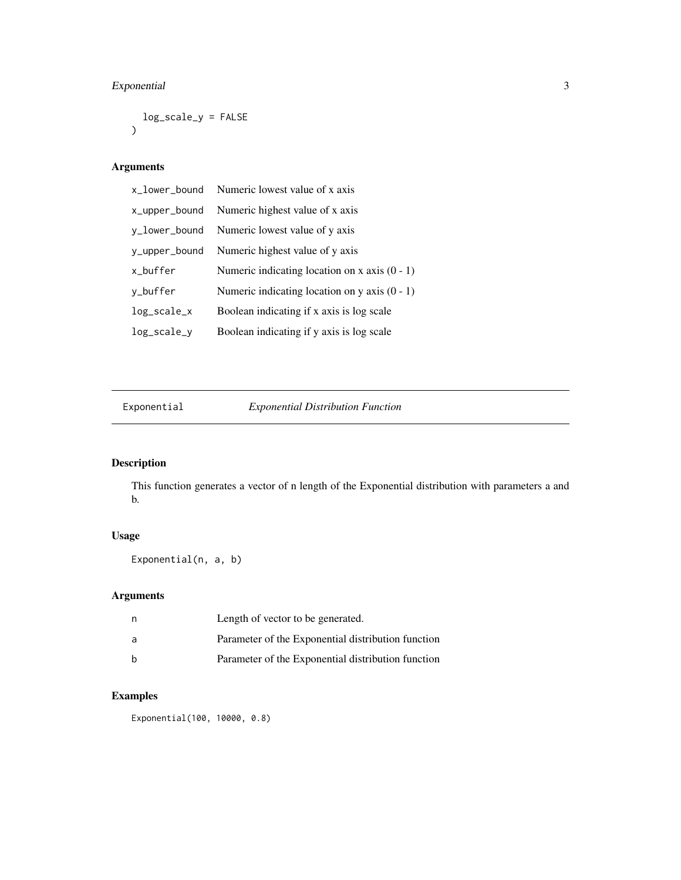## <span id="page-2-0"></span>Exponential 3

```
log_scale_y = FALSE
\mathcal{L}
```
## Arguments

|               | x_lower_bound Numeric lowest value of x axis    |
|---------------|-------------------------------------------------|
| x_upper_bound | Numeric highest value of x axis                 |
| y_lower_bound | Numeric lowest value of y axis                  |
| y_upper_bound | Numeric highest value of y axis                 |
| x_buffer      | Numeric indicating location on x axis $(0 - 1)$ |
| y_buffer      | Numeric indicating location on y axis $(0 - 1)$ |
| log_scale_x   | Boolean indicating if x axis is log scale       |
| log_scale_y   | Boolean indicating if y axis is log scale       |

Exponential *Exponential Distribution Function*

# Description

This function generates a vector of n length of the Exponential distribution with parameters a and b.

## Usage

Exponential(n, a, b)

## Arguments

|     | Length of vector to be generated.                  |
|-----|----------------------------------------------------|
| - a | Parameter of the Exponential distribution function |
|     | Parameter of the Exponential distribution function |

## Examples

Exponential(100, 10000, 0.8)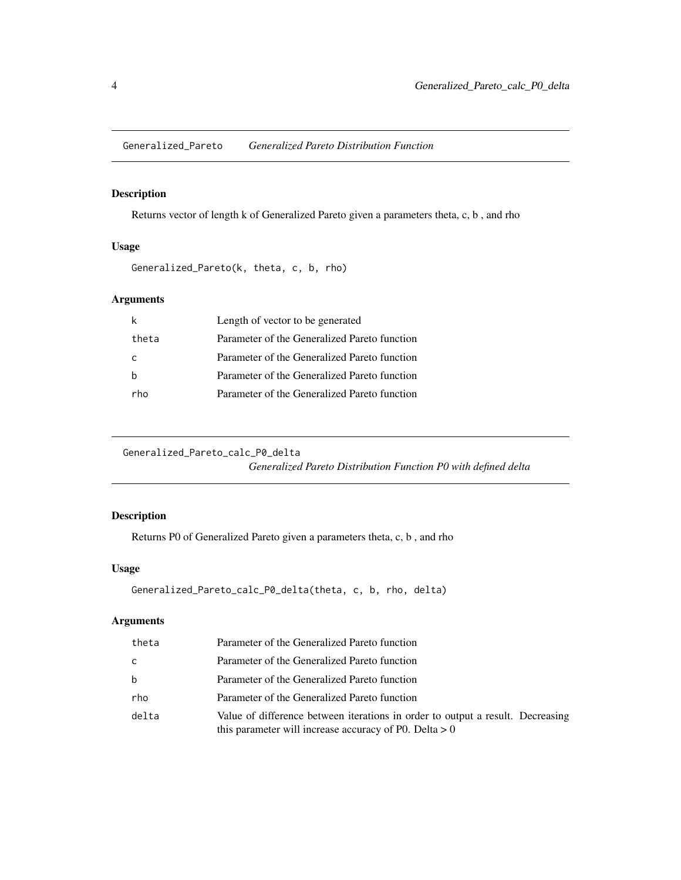<span id="page-3-0"></span>Generalized\_Pareto *Generalized Pareto Distribution Function*

## Description

Returns vector of length k of Generalized Pareto given a parameters theta, c, b , and rho

## Usage

```
Generalized_Pareto(k, theta, c, b, rho)
```
## Arguments

|       | Length of vector to be generated             |
|-------|----------------------------------------------|
| theta | Parameter of the Generalized Pareto function |
| C     | Parameter of the Generalized Pareto function |
|       | Parameter of the Generalized Pareto function |
| rho   | Parameter of the Generalized Pareto function |

Generalized\_Pareto\_calc\_P0\_delta *Generalized Pareto Distribution Function P0 with defined delta*

## Description

Returns P0 of Generalized Pareto given a parameters theta, c, b , and rho

## Usage

```
Generalized_Pareto_calc_P0_delta(theta, c, b, rho, delta)
```

| theta | Parameter of the Generalized Pareto function                                                                                               |
|-------|--------------------------------------------------------------------------------------------------------------------------------------------|
| C     | Parameter of the Generalized Pareto function                                                                                               |
| b     | Parameter of the Generalized Pareto function                                                                                               |
| rho   | Parameter of the Generalized Pareto function                                                                                               |
| delta | Value of difference between iterations in order to output a result. Decreasing<br>this parameter will increase accuracy of P0. Delta $> 0$ |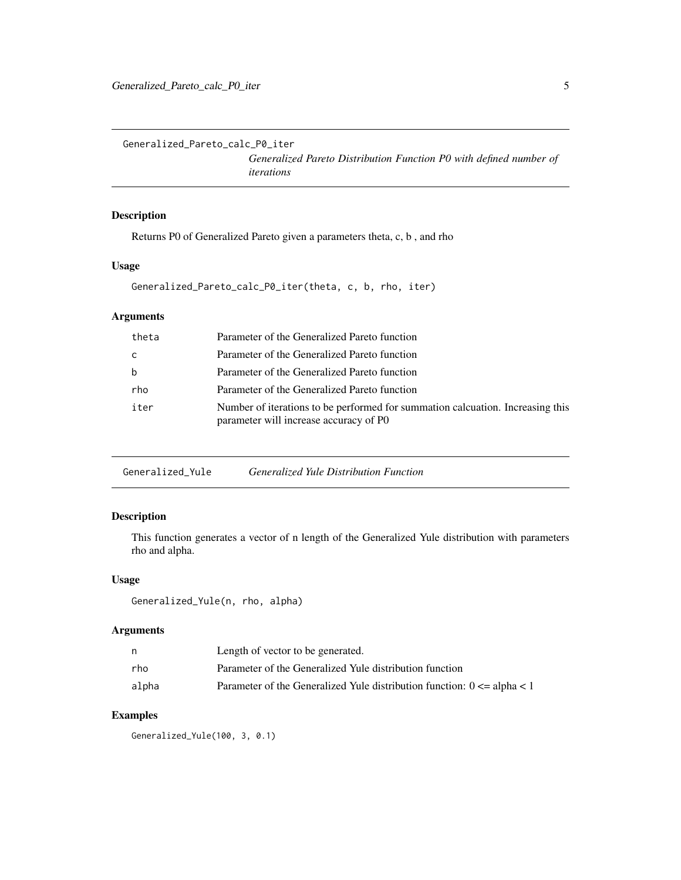<span id="page-4-0"></span>Generalized\_Pareto\_calc\_P0\_iter

*Generalized Pareto Distribution Function P0 with defined number of iterations*

## Description

Returns P0 of Generalized Pareto given a parameters theta, c, b , and rho

### Usage

```
Generalized_Pareto_calc_P0_iter(theta, c, b, rho, iter)
```
## Arguments

| theta | Parameter of the Generalized Pareto function                                                                             |
|-------|--------------------------------------------------------------------------------------------------------------------------|
| - C   | Parameter of the Generalized Pareto function                                                                             |
| b     | Parameter of the Generalized Pareto function                                                                             |
| rho   | Parameter of the Generalized Pareto function                                                                             |
| iter  | Number of iterations to be performed for summation calcuation. Increasing this<br>parameter will increase accuracy of P0 |
|       |                                                                                                                          |

Generalized\_Yule *Generalized Yule Distribution Function*

## Description

This function generates a vector of n length of the Generalized Yule distribution with parameters rho and alpha.

## Usage

```
Generalized_Yule(n, rho, alpha)
```
#### Arguments

| n     | Length of vector to be generated.                                                |
|-------|----------------------------------------------------------------------------------|
| rho   | Parameter of the Generalized Yule distribution function                          |
| alpha | Parameter of the Generalized Yule distribution function: $0 \le a$ alpha $\le 1$ |

## Examples

Generalized\_Yule(100, 3, 0.1)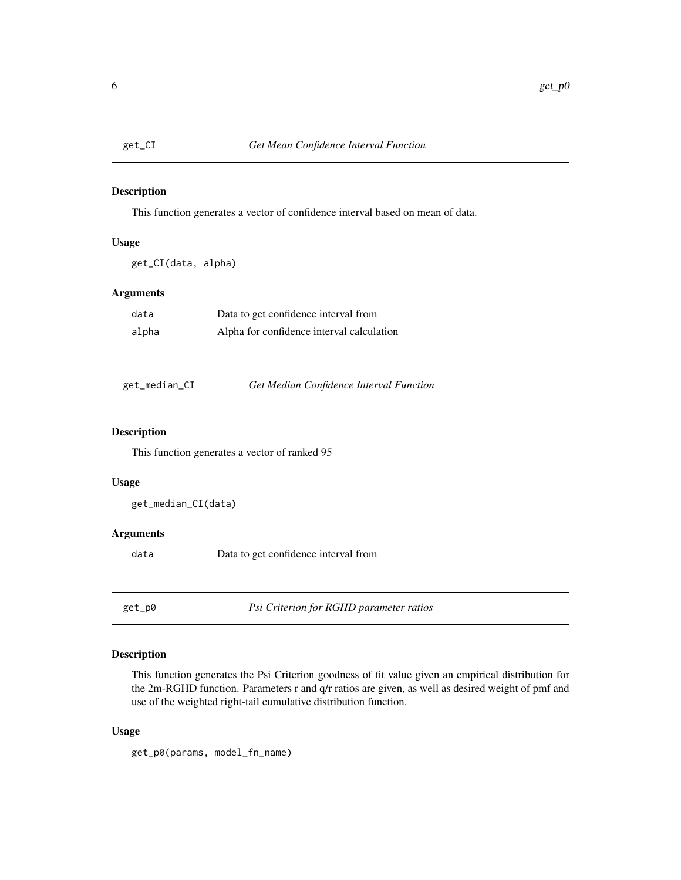<span id="page-5-0"></span>

This function generates a vector of confidence interval based on mean of data.

#### Usage

get\_CI(data, alpha)

## Arguments

| data  | Data to get confidence interval from      |
|-------|-------------------------------------------|
| alpha | Alpha for confidence interval calculation |

| get_median_CI |  |
|---------------|--|
|               |  |

Get Median Confidence Interval Function

## Description

This function generates a vector of ranked 95

#### Usage

get\_median\_CI(data)

### Arguments

data Data to get confidence interval from

get\_p0 *Psi Criterion for RGHD parameter ratios*

## Description

This function generates the Psi Criterion goodness of fit value given an empirical distribution for the 2m-RGHD function. Parameters r and q/r ratios are given, as well as desired weight of pmf and use of the weighted right-tail cumulative distribution function.

#### Usage

get\_p0(params, model\_fn\_name)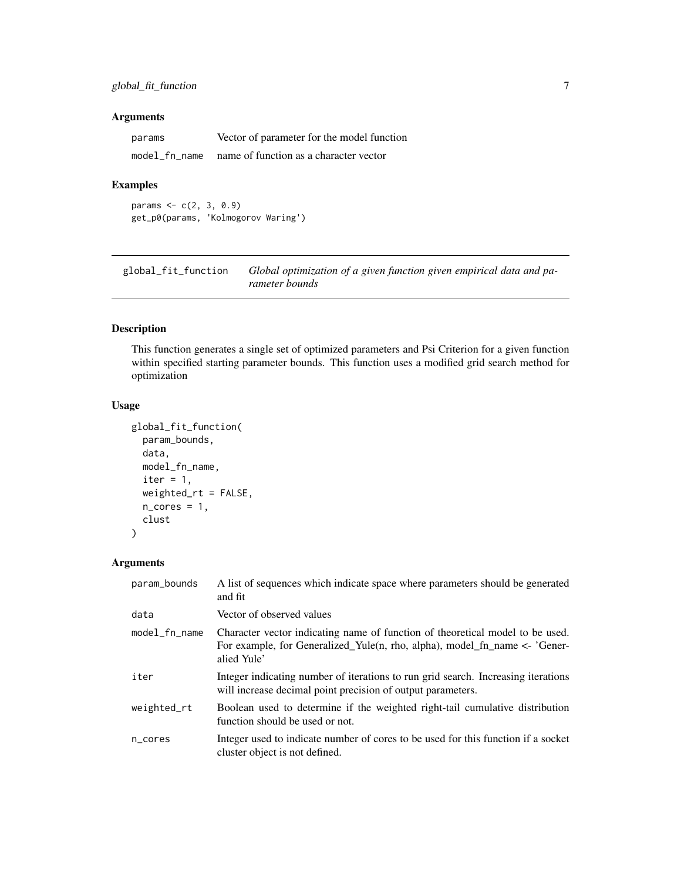<span id="page-6-0"></span>

| params        | Vector of parameter for the model function |
|---------------|--------------------------------------------|
| model fn name | name of function as a character vector     |

#### Examples

params  $<-c(2, 3, 0.9)$ get\_p0(params, 'Kolmogorov Waring')

global\_fit\_function *Global optimization of a given function given empirical data and parameter bounds*

## Description

This function generates a single set of optimized parameters and Psi Criterion for a given function within specified starting parameter bounds. This function uses a modified grid search method for optimization

#### Usage

```
global_fit_function(
 param_bounds,
  data,
 model_fn_name,
  iter = 1,
 weighted_rt = FALSE,
 n\_cores = 1,clust
)
```

| param_bounds    | A list of sequences which indicate space where parameters should be generated<br>and fit                                                                                   |
|-----------------|----------------------------------------------------------------------------------------------------------------------------------------------------------------------------|
| data            | Vector of observed values                                                                                                                                                  |
| $model_fn_name$ | Character vector indicating name of function of theoretical model to be used.<br>For example, for Generalized_Yule(n, rho, alpha), model_fn_name <- 'Gener-<br>alied Yule' |
| iter            | Integer indicating number of iterations to run grid search. Increasing iterations<br>will increase decimal point precision of output parameters.                           |
| weighted_rt     | Boolean used to determine if the weighted right-tail cumulative distribution<br>function should be used or not.                                                            |
| n_cores         | Integer used to indicate number of cores to be used for this function if a socket<br>cluster object is not defined.                                                        |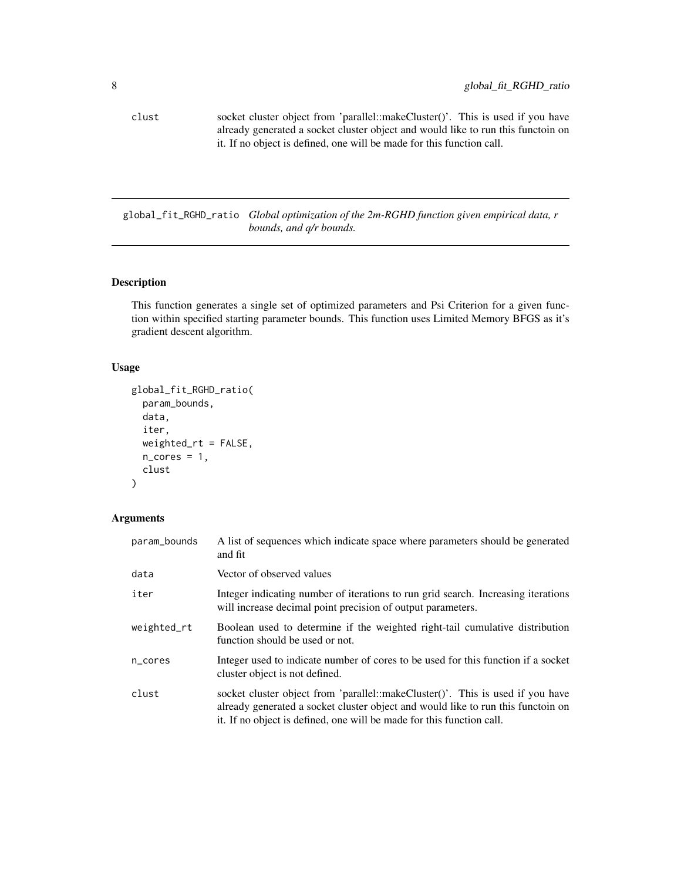<span id="page-7-0"></span>clust socket cluster object from 'parallel::makeCluster()'. This is used if you have already generated a socket cluster object and would like to run this functoin on it. If no object is defined, one will be made for this function call.

global\_fit\_RGHD\_ratio *Global optimization of the 2m-RGHD function given empirical data, r bounds, and q/r bounds.*

## Description

This function generates a single set of optimized parameters and Psi Criterion for a given function within specified starting parameter bounds. This function uses Limited Memory BFGS as it's gradient descent algorithm.

## Usage

```
global_fit_RGHD_ratio(
  param_bounds,
  data,
  iter,
  weighted_rt = FALSE,
  n\_cores = 1,clust
)
```

| param_bounds | A list of sequences which indicate space where parameters should be generated<br>and fit                                                                                                                                                    |
|--------------|---------------------------------------------------------------------------------------------------------------------------------------------------------------------------------------------------------------------------------------------|
| data         | Vector of observed values                                                                                                                                                                                                                   |
| iter         | Integer indicating number of iterations to run grid search. Increasing iterations<br>will increase decimal point precision of output parameters.                                                                                            |
| weighted_rt  | Boolean used to determine if the weighted right-tail cumulative distribution<br>function should be used or not.                                                                                                                             |
| n_cores      | Integer used to indicate number of cores to be used for this function if a socket<br>cluster object is not defined.                                                                                                                         |
| clust        | socket cluster object from 'parallel::makeCluster()'. This is used if you have<br>already generated a socket cluster object and would like to run this functoin on<br>it. If no object is defined, one will be made for this function call. |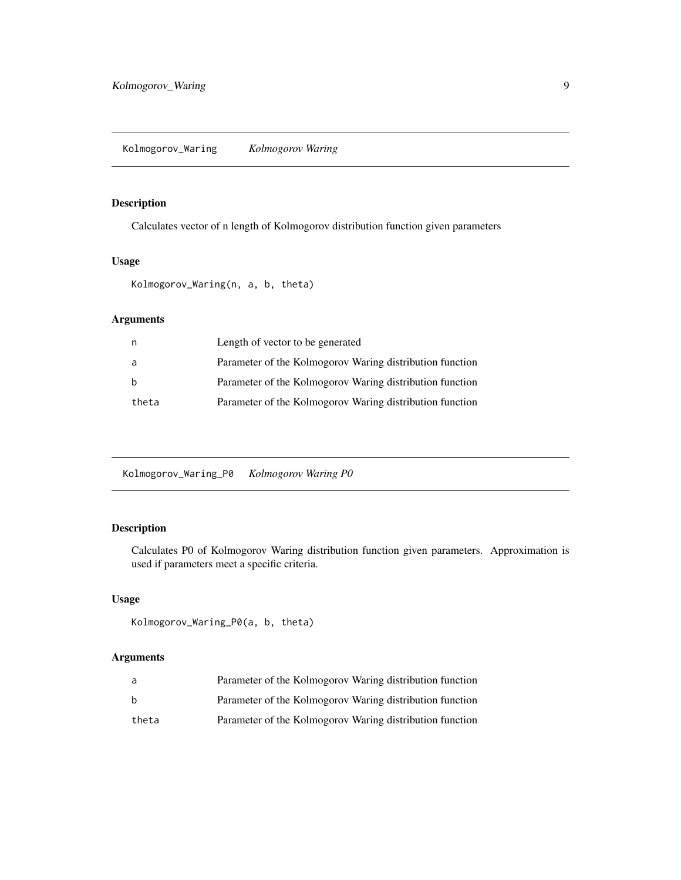<span id="page-8-0"></span>Calculates vector of n length of Kolmogorov distribution function given parameters

#### Usage

Kolmogorov\_Waring(n, a, b, theta)

## Arguments

| n     | Length of vector to be generated                         |
|-------|----------------------------------------------------------|
| a     | Parameter of the Kolmogorov Waring distribution function |
| b     | Parameter of the Kolmogorov Waring distribution function |
| theta | Parameter of the Kolmogorov Waring distribution function |

Kolmogorov\_Waring\_P0 *Kolmogorov Waring P0*

## Description

Calculates P0 of Kolmogorov Waring distribution function given parameters. Approximation is used if parameters meet a specific criteria.

## Usage

Kolmogorov\_Waring\_P0(a, b, theta)

| a     | Parameter of the Kolmogorov Waring distribution function |
|-------|----------------------------------------------------------|
| h     | Parameter of the Kolmogorov Waring distribution function |
| theta | Parameter of the Kolmogorov Waring distribution function |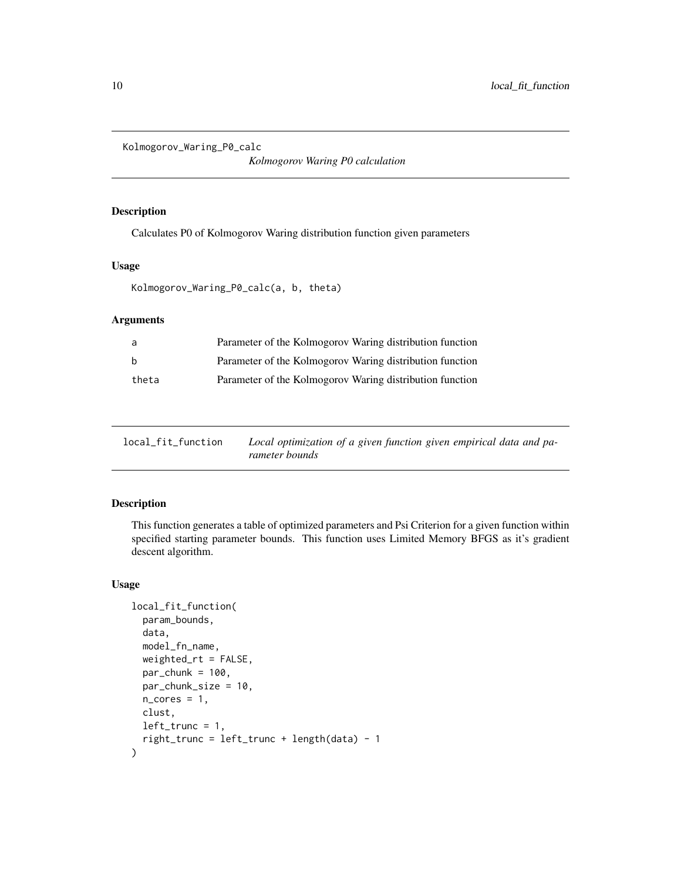```
Kolmogorov_Waring_P0_calc
```
*Kolmogorov Waring P0 calculation*

## Description

Calculates P0 of Kolmogorov Waring distribution function given parameters

### Usage

```
Kolmogorov_Waring_P0_calc(a, b, theta)
```
## Arguments

| a     | Parameter of the Kolmogorov Waring distribution function |
|-------|----------------------------------------------------------|
| b     | Parameter of the Kolmogorov Waring distribution function |
| theta | Parameter of the Kolmogorov Waring distribution function |

| local_fit_function | Local optimization of a given function given empirical data and pa- |
|--------------------|---------------------------------------------------------------------|
|                    | rameter bounds                                                      |

## Description

This function generates a table of optimized parameters and Psi Criterion for a given function within specified starting parameter bounds. This function uses Limited Memory BFGS as it's gradient descent algorithm.

```
local_fit_function(
 param_bounds,
  data,
 model_fn_name,
 weighted_rt = FALSE,
 par\_chunk = 100,par_chunk_size = 10,
 n\_cores = 1,
 clust,
 left\_trunc = 1,right_trunc = left_trunc + length(data) - 1
)
```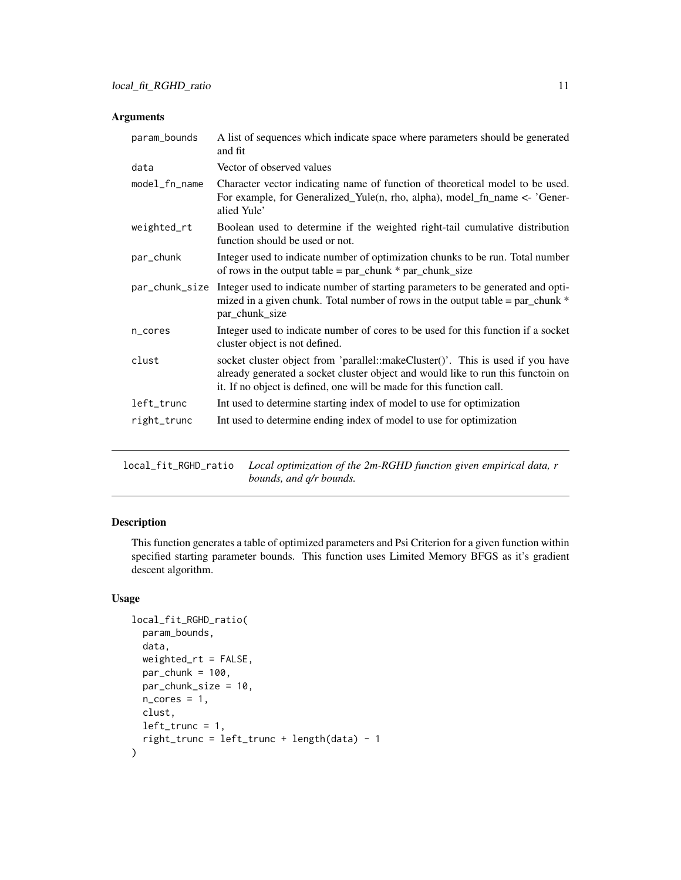<span id="page-10-0"></span>

| param_bounds   | A list of sequences which indicate space where parameters should be generated<br>and fit                                                                                                                                                    |
|----------------|---------------------------------------------------------------------------------------------------------------------------------------------------------------------------------------------------------------------------------------------|
| data           | Vector of observed values                                                                                                                                                                                                                   |
| model_fn_name  | Character vector indicating name of function of theoretical model to be used.<br>For example, for Generalized_Yule(n, rho, alpha), model_fn_name <- 'Gener-<br>alied Yule'                                                                  |
| weighted_rt    | Boolean used to determine if the weighted right-tail cumulative distribution<br>function should be used or not.                                                                                                                             |
| par_chunk      | Integer used to indicate number of optimization chunks to be run. Total number<br>of rows in the output table = $par\_chunk * par\_chunk\_size$                                                                                             |
| par_chunk_size | Integer used to indicate number of starting parameters to be generated and opti-<br>mized in a given chunk. Total number of rows in the output table = $par\_chunk *$<br>par_chunk_size                                                     |
| n_cores        | Integer used to indicate number of cores to be used for this function if a socket<br>cluster object is not defined.                                                                                                                         |
| clust          | socket cluster object from 'parallel::makeCluster()'. This is used if you have<br>already generated a socket cluster object and would like to run this functoin on<br>it. If no object is defined, one will be made for this function call. |
| left_trunc     | Int used to determine starting index of model to use for optimization                                                                                                                                                                       |
| right_trunc    | Int used to determine ending index of model to use for optimization                                                                                                                                                                         |

local\_fit\_RGHD\_ratio *Local optimization of the 2m-RGHD function given empirical data, r bounds, and q/r bounds.*

## Description

This function generates a table of optimized parameters and Psi Criterion for a given function within specified starting parameter bounds. This function uses Limited Memory BFGS as it's gradient descent algorithm.

```
local_fit_RGHD_ratio(
  param_bounds,
  data,
  weighted_rt = FALSE,
 par\_chunk = 100,par_chunk_size = 10,
 n\_cores = 1,
  clust,
  left\_trunc = 1,right_trunc = left_trunc + length(data) - 1
\mathcal{E}
```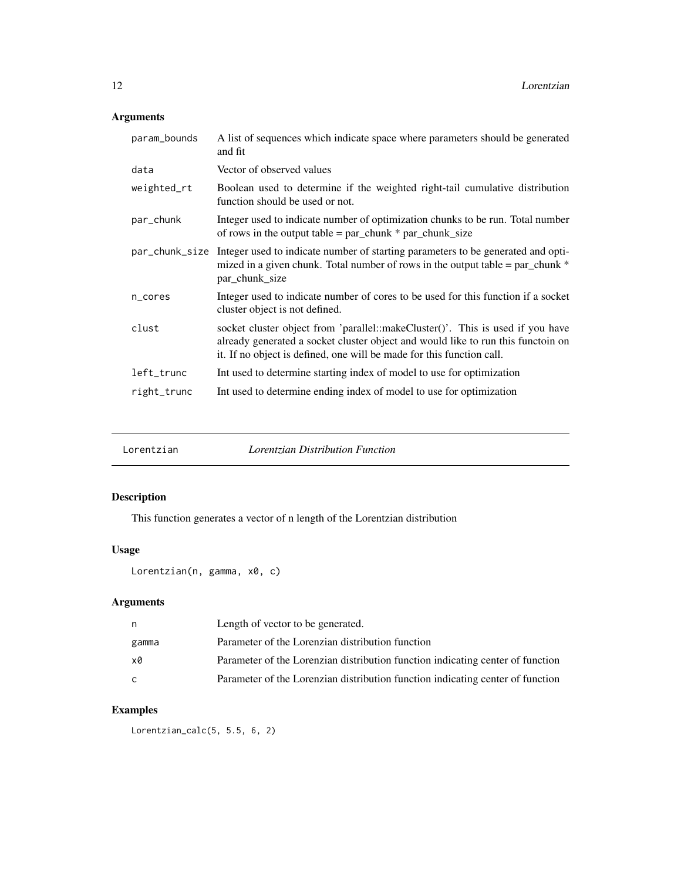<span id="page-11-0"></span>

| param_bounds | A list of sequences which indicate space where parameters should be generated<br>and fit                                                                                                                                                    |
|--------------|---------------------------------------------------------------------------------------------------------------------------------------------------------------------------------------------------------------------------------------------|
| data         | Vector of observed values                                                                                                                                                                                                                   |
| weighted_rt  | Boolean used to determine if the weighted right-tail cumulative distribution<br>function should be used or not.                                                                                                                             |
| par_chunk    | Integer used to indicate number of optimization chunks to be run. Total number<br>of rows in the output table = $par\_chunk * par\_chunk\_size$                                                                                             |
|              | par_chunk_size Integer used to indicate number of starting parameters to be generated and opti-<br>mized in a given chunk. Total number of rows in the output table = $par\_chunk *$<br>par_chunk_size                                      |
| n_cores      | Integer used to indicate number of cores to be used for this function if a socket<br>cluster object is not defined.                                                                                                                         |
| clust        | socket cluster object from 'parallel::makeCluster()'. This is used if you have<br>already generated a socket cluster object and would like to run this functoin on<br>it. If no object is defined, one will be made for this function call. |
| left_trunc   | Int used to determine starting index of model to use for optimization                                                                                                                                                                       |
| right_trunc  | Int used to determine ending index of model to use for optimization                                                                                                                                                                         |

| Lorentzian | <i>Lorentzian Distribution Function</i> |  |
|------------|-----------------------------------------|--|
|------------|-----------------------------------------|--|

# Description

This function generates a vector of n length of the Lorentzian distribution

## Usage

```
Lorentzian(n, gamma, x0, c)
```
## Arguments

| n     | Length of vector to be generated.                                              |
|-------|--------------------------------------------------------------------------------|
| gamma | Parameter of the Lorenzian distribution function                               |
| x0    | Parameter of the Lorenzian distribution function indicating center of function |
| C     | Parameter of the Lorenzian distribution function indicating center of function |

# Examples

Lorentzian\_calc(5, 5.5, 6, 2)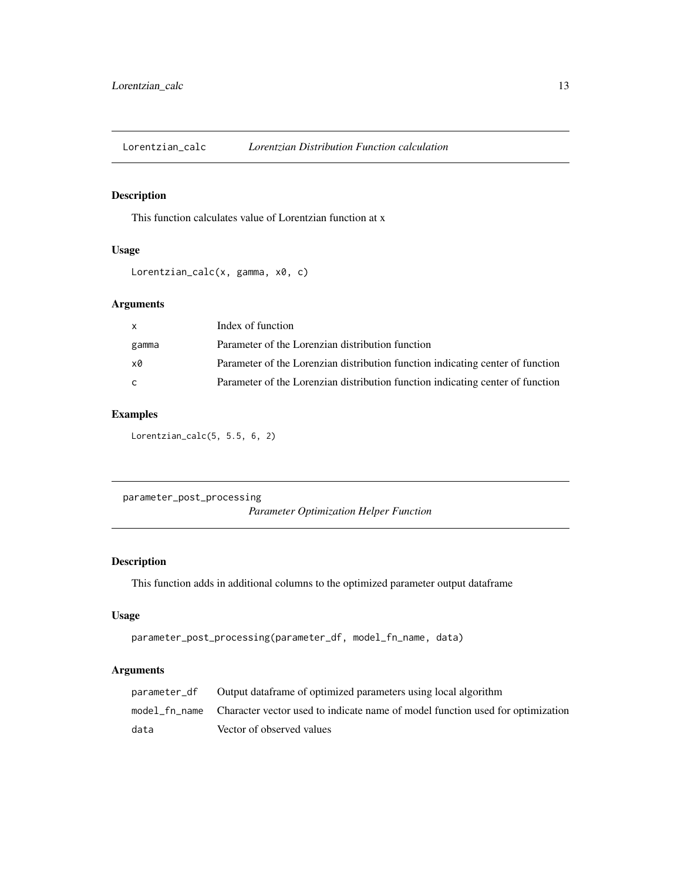<span id="page-12-0"></span>Lorentzian\_calc *Lorentzian Distribution Function calculation*

## Description

This function calculates value of Lorentzian function at x

## Usage

```
Lorentzian_calc(x, gamma, x0, c)
```
## Arguments

| $\mathsf{x}$ | Index of function                                                              |
|--------------|--------------------------------------------------------------------------------|
| gamma        | Parameter of the Lorenzian distribution function                               |
| xØ           | Parameter of the Lorenzian distribution function indicating center of function |
| C.           | Parameter of the Lorenzian distribution function indicating center of function |

## Examples

Lorentzian\_calc(5, 5.5, 6, 2)

parameter\_post\_processing *Parameter Optimization Helper Function*

## Description

This function adds in additional columns to the optimized parameter output dataframe

## Usage

```
parameter_post_processing(parameter_df, model_fn_name, data)
```

| parameter_df | Output data frame of optimized parameters using local algorithm                              |
|--------------|----------------------------------------------------------------------------------------------|
|              | model fr_name Character vector used to indicate name of model function used for optimization |
| data         | Vector of observed values                                                                    |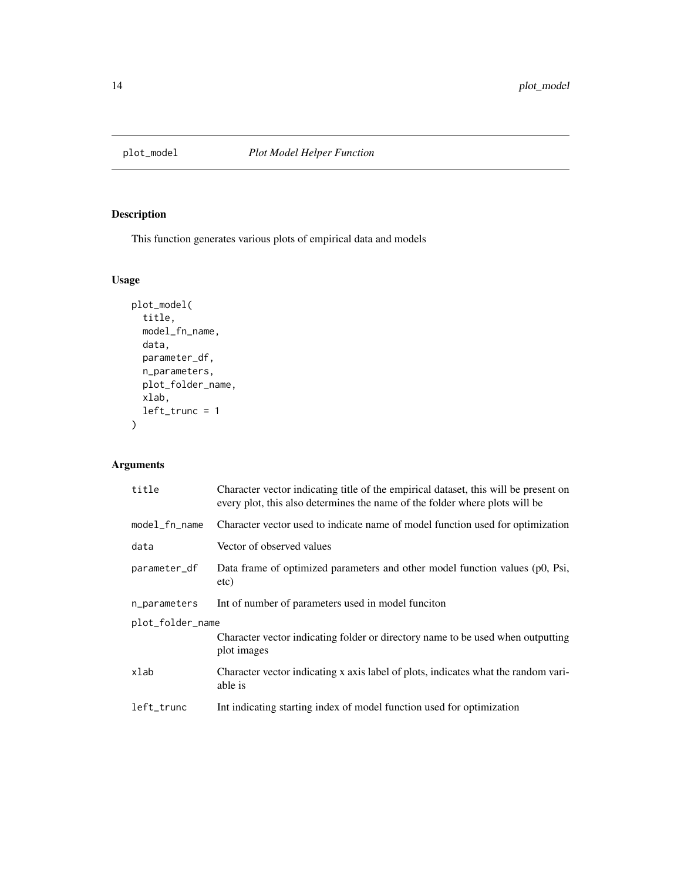<span id="page-13-0"></span>

This function generates various plots of empirical data and models

## Usage

```
plot_model(
  title,
  model_fn_name,
  data,
  parameter_df,
  n_parameters,
  plot_folder_name,
  xlab,
  left_trunc = 1
)
```

| title            | Character vector indicating title of the empirical dataset, this will be present on<br>every plot, this also determines the name of the folder where plots will be |  |
|------------------|--------------------------------------------------------------------------------------------------------------------------------------------------------------------|--|
| $model_fn_name$  | Character vector used to indicate name of model function used for optimization                                                                                     |  |
| data             | Vector of observed values                                                                                                                                          |  |
| parameter_df     | Data frame of optimized parameters and other model function values (p0, Psi,<br>etc)                                                                               |  |
| n_parameters     | Int of number of parameters used in model funciton                                                                                                                 |  |
| plot_folder_name |                                                                                                                                                                    |  |
|                  | Character vector indicating folder or directory name to be used when outputting<br>plot images                                                                     |  |
| xlab             | Character vector indicating x axis label of plots, indicates what the random vari-<br>able is                                                                      |  |
| left_trunc       | Int indicating starting index of model function used for optimization                                                                                              |  |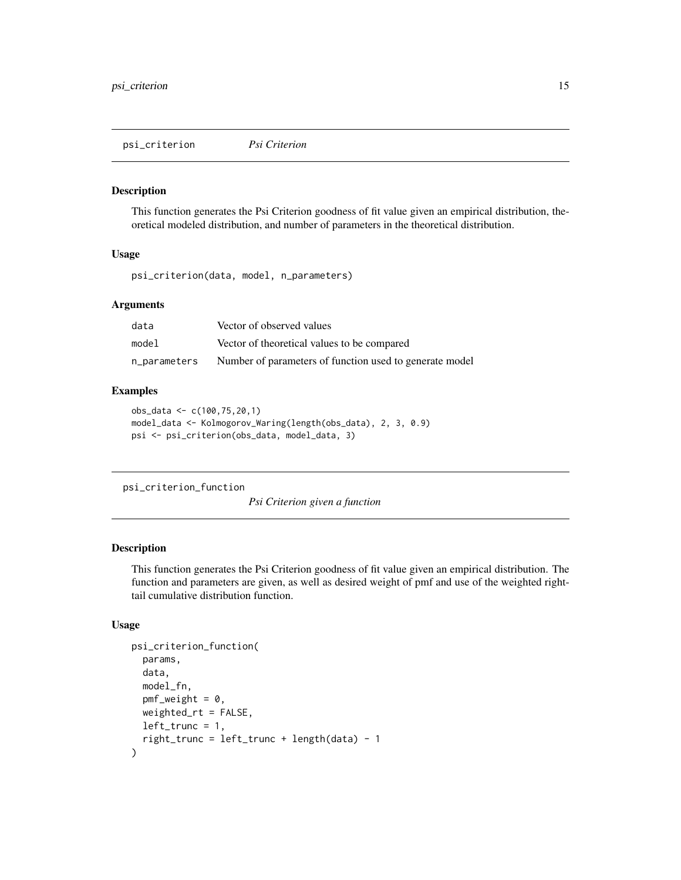<span id="page-14-0"></span>psi\_criterion *Psi Criterion*

#### Description

This function generates the Psi Criterion goodness of fit value given an empirical distribution, theoretical modeled distribution, and number of parameters in the theoretical distribution.

#### Usage

psi\_criterion(data, model, n\_parameters)

## Arguments

| data         | Vector of observed values                               |
|--------------|---------------------------------------------------------|
| model        | Vector of theoretical values to be compared             |
| n_parameters | Number of parameters of function used to generate model |

## Examples

```
obs_data <- c(100,75,20,1)
model_data <- Kolmogorov_Waring(length(obs_data), 2, 3, 0.9)
psi <- psi_criterion(obs_data, model_data, 3)
```

```
psi_criterion_function
```
*Psi Criterion given a function*

#### Description

This function generates the Psi Criterion goodness of fit value given an empirical distribution. The function and parameters are given, as well as desired weight of pmf and use of the weighted righttail cumulative distribution function.

```
psi_criterion_function(
  params,
  data,
  model_fn,
  pmf<sub>-</sub>weight = 0,
  weighted_rt = FALSE,
  left\_trunc = 1,right_trunc = left_trunc + length(data) - 1
)
```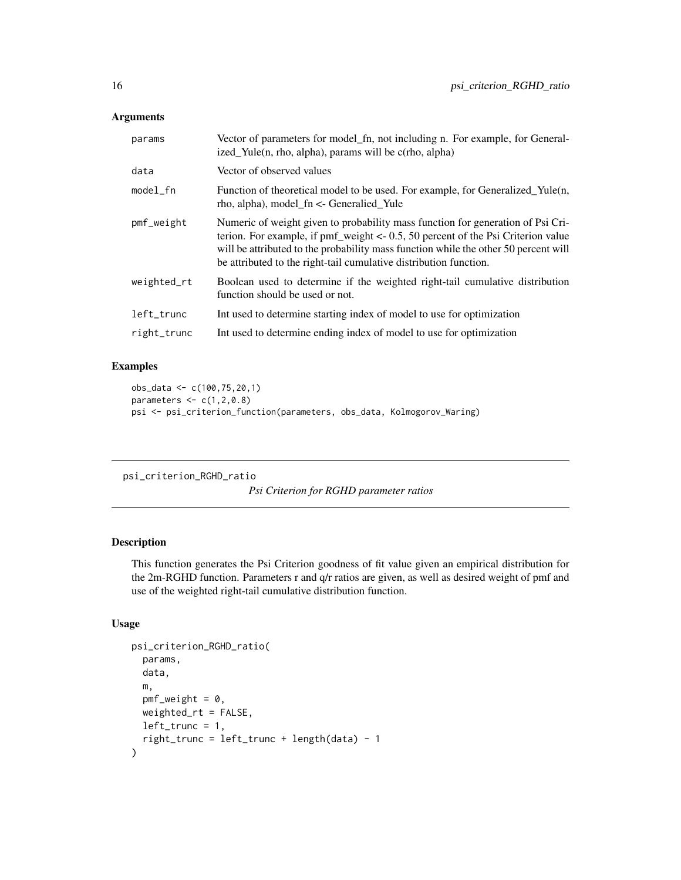<span id="page-15-0"></span>

| params      | Vector of parameters for model_fn, not including n. For example, for General-<br>ized_Yule(n, rho, alpha), params will be c(rho, alpha)                                                                                                                                                                                                    |
|-------------|--------------------------------------------------------------------------------------------------------------------------------------------------------------------------------------------------------------------------------------------------------------------------------------------------------------------------------------------|
| data        | Vector of observed values                                                                                                                                                                                                                                                                                                                  |
| $model_fn$  | Function of theoretical model to be used. For example, for Generalized_Yule(n,<br>$rho$ , alpha), model $fn <$ - Generalied Yule                                                                                                                                                                                                           |
| pmf_weight  | Numeric of weight given to probability mass function for generation of Psi Cri-<br>terion. For example, if $\text{pmf\_weight} < -0.5$ , 50 percent of the Psi Criterion value<br>will be attributed to the probability mass function while the other 50 percent will<br>be attributed to the right-tail cumulative distribution function. |
| weighted_rt | Boolean used to determine if the weighted right-tail cumulative distribution<br>function should be used or not.                                                                                                                                                                                                                            |
| left_trunc  | Int used to determine starting index of model to use for optimization                                                                                                                                                                                                                                                                      |
| right_trunc | Int used to determine ending index of model to use for optimization                                                                                                                                                                                                                                                                        |

## Examples

```
obs_data <- c(100,75,20,1)
parameters \leq c(1,2,0.8)psi <- psi_criterion_function(parameters, obs_data, Kolmogorov_Waring)
```

```
psi_criterion_RGHD_ratio
```
*Psi Criterion for RGHD parameter ratios*

#### Description

This function generates the Psi Criterion goodness of fit value given an empirical distribution for the 2m-RGHD function. Parameters r and q/r ratios are given, as well as desired weight of pmf and use of the weighted right-tail cumulative distribution function.

```
psi_criterion_RGHD_ratio(
  params,
  data,
  m,
  pmf<sub>-weight</sub> = 0,
  weighted_rt = FALSE,
  left\_trunc = 1,right_trunc = left_trunc + length(data) - 1
\mathcal{E}
```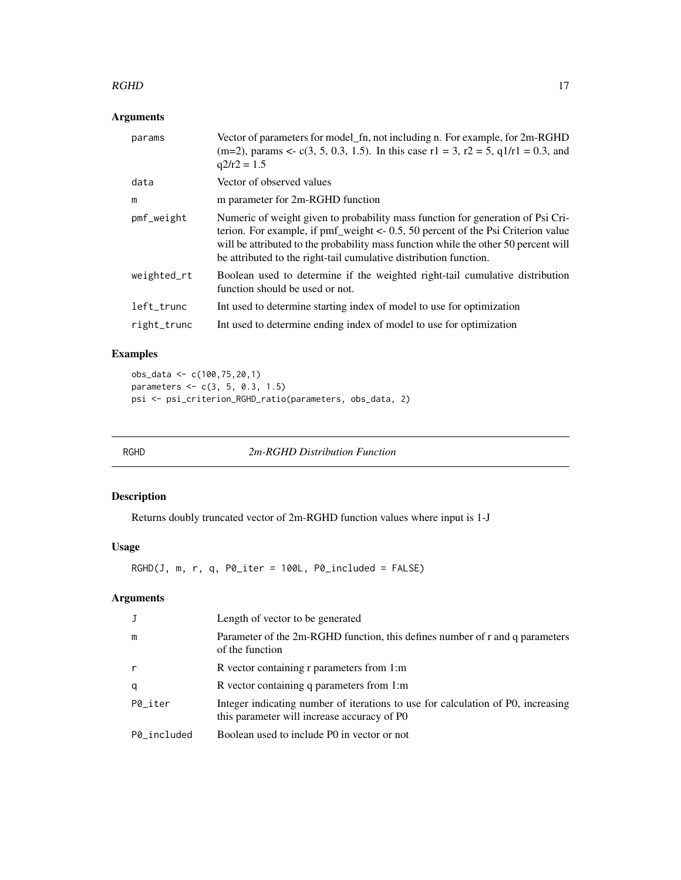#### <span id="page-16-0"></span> $RGHD$  17

## Arguments

| params      | Vector of parameters for model_fn, not including n. For example, for 2m-RGHD<br>(m=2), params <- c(3, 5, 0.3, 1.5). In this case $r1 = 3$ , $r2 = 5$ , $q1/r1 = 0.3$ , and<br>$q2/r2 = 1.5$                                                                                                                                      |
|-------------|----------------------------------------------------------------------------------------------------------------------------------------------------------------------------------------------------------------------------------------------------------------------------------------------------------------------------------|
| data        | Vector of observed values                                                                                                                                                                                                                                                                                                        |
| m           | m parameter for 2m-RGHD function                                                                                                                                                                                                                                                                                                 |
| pmf_weight  | Numeric of weight given to probability mass function for generation of Psi Cri-<br>terion. For example, if $pm$ weight <- 0.5, 50 percent of the Psi Criterion value<br>will be attributed to the probability mass function while the other 50 percent will<br>be attributed to the right-tail cumulative distribution function. |
| weighted_rt | Boolean used to determine if the weighted right-tail cumulative distribution<br>function should be used or not.                                                                                                                                                                                                                  |
| left_trunc  | Int used to determine starting index of model to use for optimization                                                                                                                                                                                                                                                            |
| right_trunc | Int used to determine ending index of model to use for optimization                                                                                                                                                                                                                                                              |
|             |                                                                                                                                                                                                                                                                                                                                  |

## Examples

```
obs_data <- c(100,75,20,1)
parameters <- c(3, 5, 0.3, 1.5)
psi <- psi_criterion_RGHD_ratio(parameters, obs_data, 2)
```
RGHD *2m-RGHD Distribution Function*

## Description

Returns doubly truncated vector of 2m-RGHD function values where input is 1-J

## Usage

RGHD(J, m, r, q, P0\_iter = 100L, P0\_included = FALSE)

|             | Length of vector to be generated                                                                                                |
|-------------|---------------------------------------------------------------------------------------------------------------------------------|
| m           | Parameter of the 2m-RGHD function, this defines number of r and q parameters<br>of the function                                 |
|             | R vector containing r parameters from 1:m                                                                                       |
| q           | R vector containing q parameters from 1:m                                                                                       |
| P0 iter     | Integer indicating number of iterations to use for calculation of P0, increasing<br>this parameter will increase accuracy of PO |
| P0 included | Boolean used to include P0 in vector or not                                                                                     |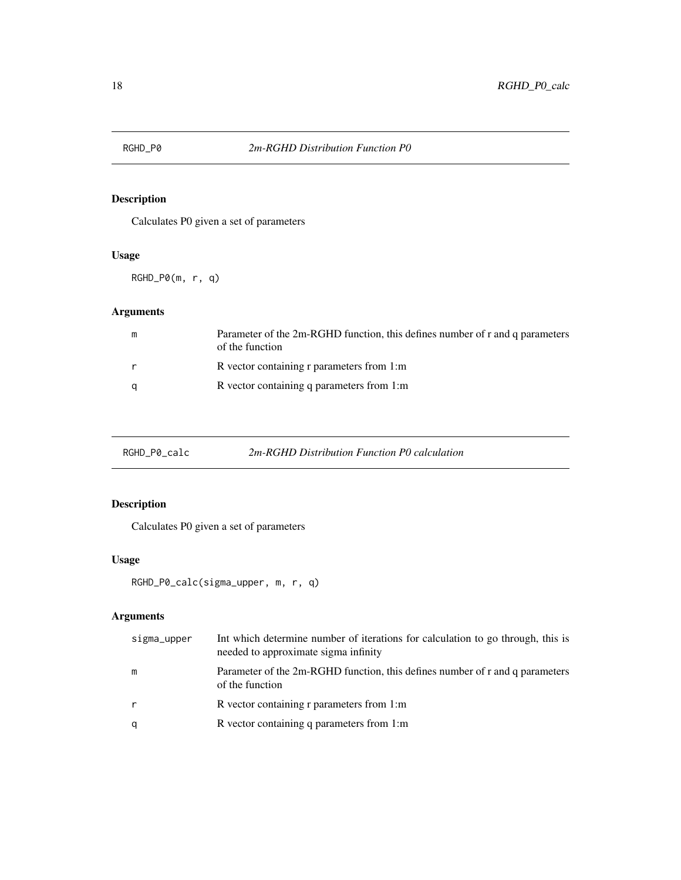<span id="page-17-0"></span>

Calculates P0 given a set of parameters

## Usage

RGHD\_P0(m, r, q)

## Arguments

| m | Parameter of the 2m-RGHD function, this defines number of r and q parameters<br>of the function |
|---|-------------------------------------------------------------------------------------------------|
| r | R vector containing r parameters from 1:m                                                       |
| a | R vector containing q parameters from 1:m                                                       |

RGHD\_P0\_calc *2m-RGHD Distribution Function P0 calculation*

## Description

Calculates P0 given a set of parameters

## Usage

```
RGHD_P0_calc(sigma_upper, m, r, q)
```

| sigma_upper | Int which determine number of iterations for calculation to go through, this is<br>needed to approximate sigma infinity |
|-------------|-------------------------------------------------------------------------------------------------------------------------|
| m           | Parameter of the 2m-RGHD function, this defines number of r and q parameters<br>of the function                         |
| r           | R vector containing r parameters from 1:m                                                                               |
| q           | R vector containing q parameters from 1:m                                                                               |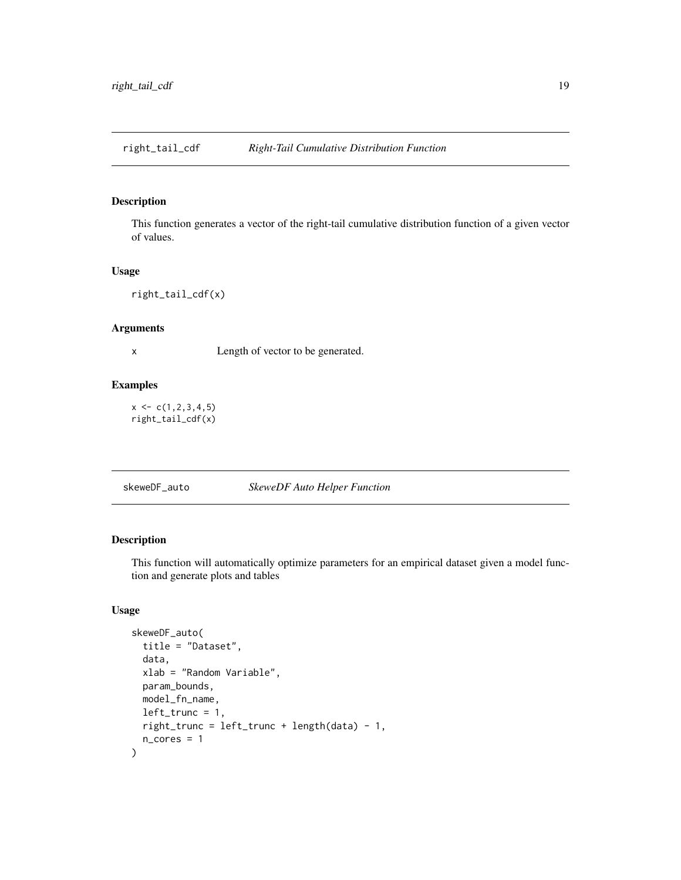<span id="page-18-0"></span>right\_tail\_cdf *Right-Tail Cumulative Distribution Function*

## Description

This function generates a vector of the right-tail cumulative distribution function of a given vector of values.

#### Usage

right\_tail\_cdf(x)

#### Arguments

x Length of vector to be generated.

#### Examples

 $x \leftarrow c(1, 2, 3, 4, 5)$ right\_tail\_cdf(x)

skeweDF\_auto *SkeweDF Auto Helper Function*

## Description

This function will automatically optimize parameters for an empirical dataset given a model function and generate plots and tables

```
skeweDF_auto(
  title = "Dataset",
  data,
 xlab = "Random Variable",
 param_bounds,
 model_fn_name,
 left\_trunc = 1,
 right_trunc = left_trunc + length(data) - 1,
 n_cores = 1
)
```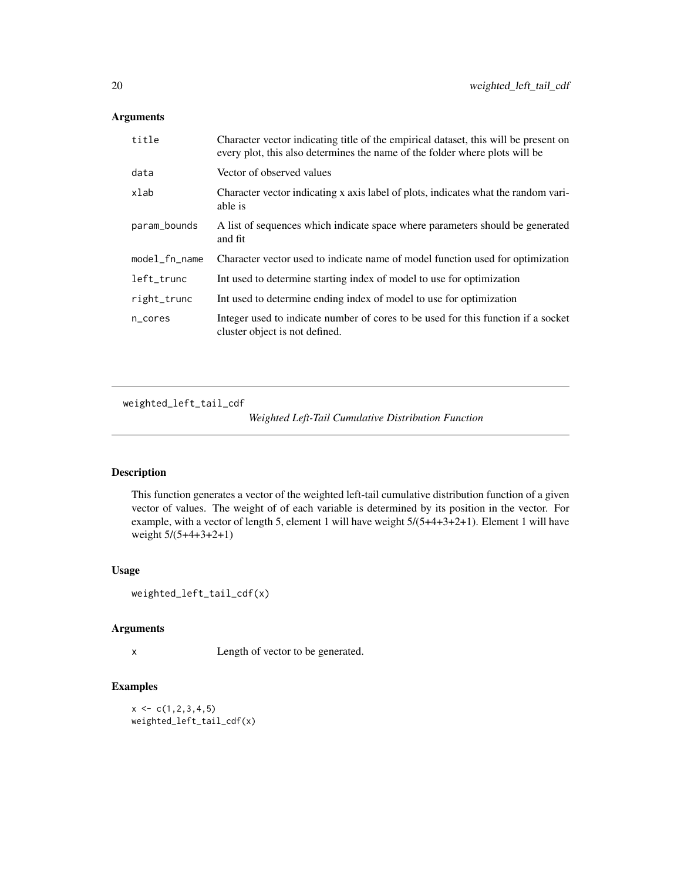<span id="page-19-0"></span>

| title         | Character vector indicating title of the empirical dataset, this will be present on<br>every plot, this also determines the name of the folder where plots will be |
|---------------|--------------------------------------------------------------------------------------------------------------------------------------------------------------------|
| data          | Vector of observed values                                                                                                                                          |
| xlab          | Character vector indicating x axis label of plots, indicates what the random vari-<br>able is                                                                      |
| param_bounds  | A list of sequences which indicate space where parameters should be generated<br>and fit                                                                           |
| model_fn_name | Character vector used to indicate name of model function used for optimization                                                                                     |
| left_trunc    | Int used to determine starting index of model to use for optimization                                                                                              |
| right_trunc   | Int used to determine ending index of model to use for optimization                                                                                                |
| n_cores       | Integer used to indicate number of cores to be used for this function if a socket<br>cluster object is not defined.                                                |

weighted\_left\_tail\_cdf

*Weighted Left-Tail Cumulative Distribution Function*

## Description

This function generates a vector of the weighted left-tail cumulative distribution function of a given vector of values. The weight of of each variable is determined by its position in the vector. For example, with a vector of length 5, element 1 will have weight 5/(5+4+3+2+1). Element 1 will have weight 5/(5+4+3+2+1)

#### Usage

```
weighted_left_tail_cdf(x)
```
## Arguments

x Length of vector to be generated.

#### Examples

 $x \leftarrow c(1, 2, 3, 4, 5)$ weighted\_left\_tail\_cdf(x)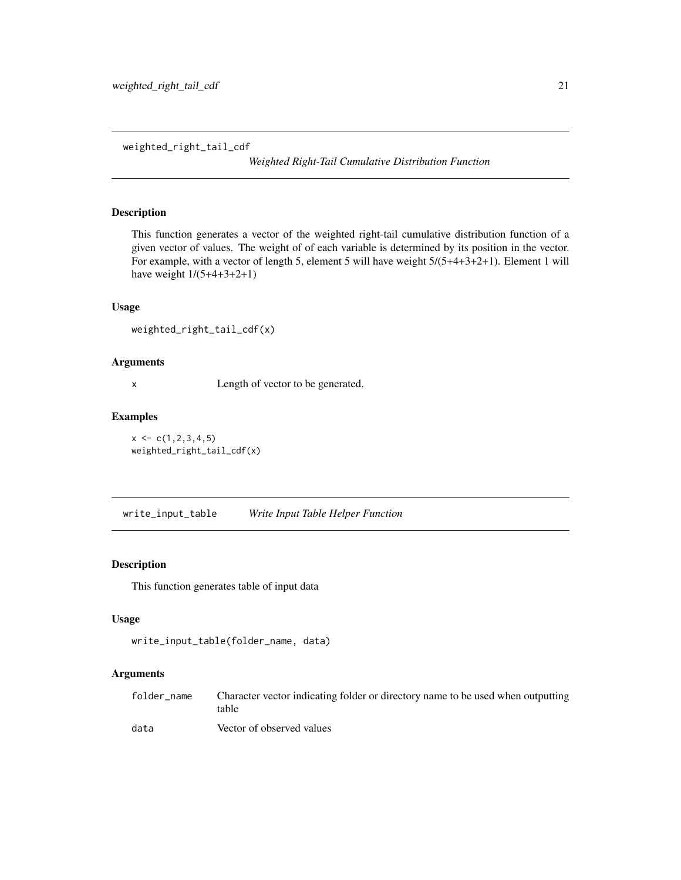<span id="page-20-0"></span>weighted\_right\_tail\_cdf

*Weighted Right-Tail Cumulative Distribution Function*

## Description

This function generates a vector of the weighted right-tail cumulative distribution function of a given vector of values. The weight of of each variable is determined by its position in the vector. For example, with a vector of length 5, element 5 will have weight 5/(5+4+3+2+1). Element 1 will have weight 1/(5+4+3+2+1)

#### Usage

```
weighted_right_tail_cdf(x)
```
## Arguments

x Length of vector to be generated.

#### Examples

 $x \leftarrow c(1, 2, 3, 4, 5)$ weighted\_right\_tail\_cdf(x)

write\_input\_table *Write Input Table Helper Function*

## Description

This function generates table of input data

## Usage

```
write_input_table(folder_name, data)
```

| folder name | Character vector indicating folder or directory name to be used when outputting<br>table |
|-------------|------------------------------------------------------------------------------------------|
| data        | Vector of observed values                                                                |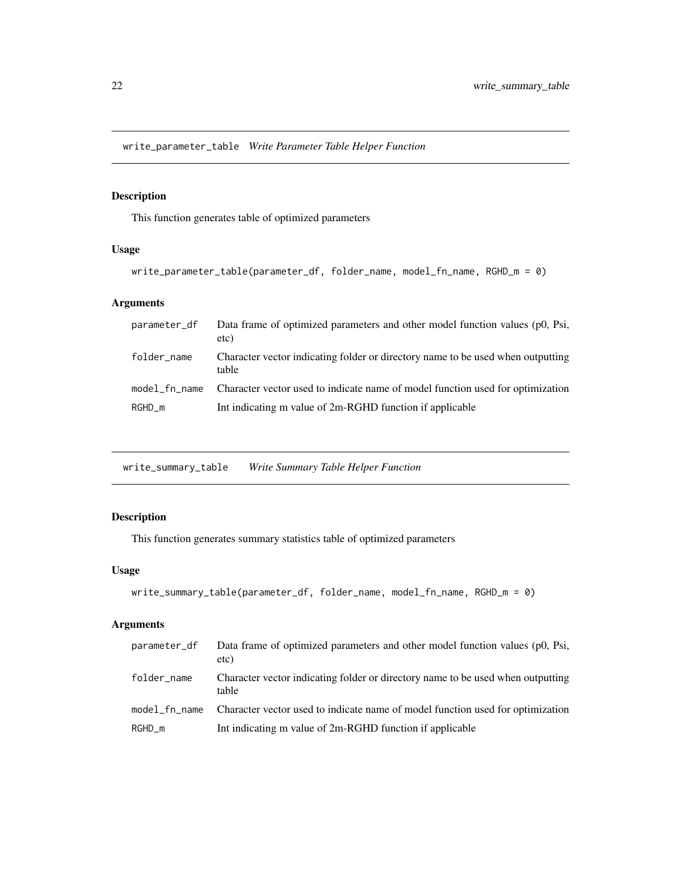<span id="page-21-0"></span>write\_parameter\_table *Write Parameter Table Helper Function*

### Description

This function generates table of optimized parameters

## Usage

```
write_parameter_table(parameter_df, folder_name, model_fn_name, RGHD_m = 0)
```
## Arguments

| parameter_df  | Data frame of optimized parameters and other model function values (p0, Psi,<br>etc)     |
|---------------|------------------------------------------------------------------------------------------|
| folder_name   | Character vector indicating folder or directory name to be used when outputting<br>table |
| model fn name | Character vector used to indicate name of model function used for optimization           |
| $RGHD_m$      | Int indicating m value of 2m-RGHD function if applicable                                 |

write\_summary\_table *Write Summary Table Helper Function*

## Description

This function generates summary statistics table of optimized parameters

## Usage

```
write_summary_table(parameter_df, folder_name, model_fn_name, RGHD_m = 0)
```

| parameter_df  | Data frame of optimized parameters and other model function values (p0, Psi,<br>etc)     |
|---------------|------------------------------------------------------------------------------------------|
| folder_name   | Character vector indicating folder or directory name to be used when outputting<br>table |
| model fn name | Character vector used to indicate name of model function used for optimization           |
| $RGHD_m$      | Int indicating m value of 2m-RGHD function if applicable                                 |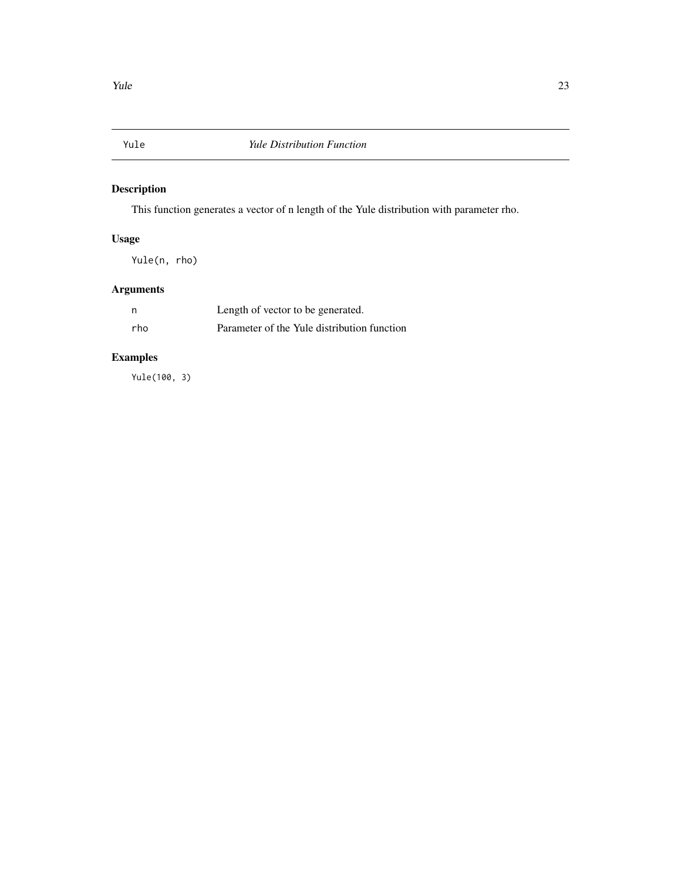<span id="page-22-0"></span>

This function generates a vector of n length of the Yule distribution with parameter rho.

## Usage

Yule(n, rho)

# Arguments

| n   | Length of vector to be generated.           |
|-----|---------------------------------------------|
| rho | Parameter of the Yule distribution function |

# Examples

Yule(100, 3)